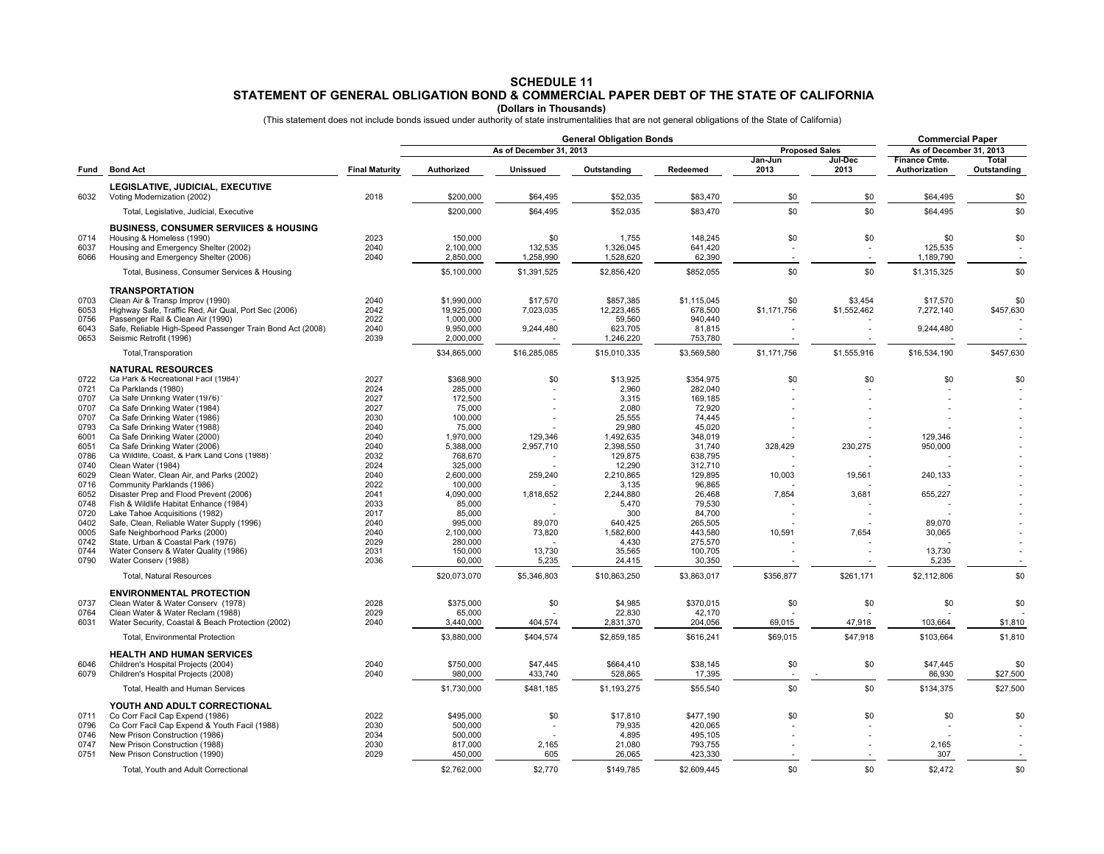## **STATEMENT OF GENERAL OBLIGATION BOND & COMMERCIAL PAPER DEBT OF THE STATE OF CALIFORNIA SCHEDULE 11**

**(Dollars in Thousands)**<br>(This statement does not include bonds issued under authority of state instrumentalities that are not general obligations of the State of California)

|              |                                                                                      |                       | <b>General Obligation Bonds</b> |                      |                        |                       |                 |                 | <b>Commercial Paper</b>               |                      |
|--------------|--------------------------------------------------------------------------------------|-----------------------|---------------------------------|----------------------|------------------------|-----------------------|-----------------|-----------------|---------------------------------------|----------------------|
| Fund         | <b>Bond Act</b>                                                                      | <b>Final Maturity</b> | As of December 31, 2013         |                      |                        | <b>Proposed Sales</b> |                 |                 | As of December 31, 2013               |                      |
|              |                                                                                      |                       | Authorized                      | Unissued             | Outstanding            | Redeemed              | Jan-Jun<br>2013 | Jul-Dec<br>2013 | <b>Finance Cmte.</b><br>Authorization | Total<br>Outstanding |
| 6032         | LEGISLATIVE, JUDICIAL, EXECUTIVE<br>Voting Modernization (2002)                      | 2018                  | \$200,000                       | \$64,495             | \$52,035               | \$83,470              | \$0             | \$0             | \$64,495                              | \$0                  |
|              | Total, Legislative, Judicial, Executive                                              |                       | \$200,000                       | \$64,495             | \$52,035               | \$83,470              | \$0             | \$0             | \$64,495                              | \$0                  |
|              | <b>BUSINESS, CONSUMER SERVIICES &amp; HOUSING</b>                                    |                       |                                 |                      |                        |                       |                 |                 |                                       |                      |
| 0714         | Housing & Homeless (1990)                                                            | 2023                  | 150,000                         | \$0                  | 1,755                  | 148,245               | \$0             | \$0             | \$0                                   | \$0                  |
| 6037<br>6066 | Housing and Emergency Shelter (2002)<br>Housing and Emergency Shelter (2006)         | 2040<br>2040          | 2.100.000<br>2,850,000          | 132.535<br>1,258,990 | 1,326,045<br>1,528,620 | 641.420<br>62,390     |                 |                 | 125.535<br>1,189,790                  |                      |
|              | Total, Business, Consumer Services & Housing                                         |                       | \$5,100,000                     | \$1.391.525          | \$2,856,420            | \$852,055             | \$0             | \$0             | \$1,315,325                           | \$0                  |
|              | <b>TRANSPORTATION</b>                                                                |                       |                                 |                      |                        |                       |                 |                 |                                       |                      |
| 0703         | Clean Air & Transp Improv (1990)                                                     | 2040                  | \$1,990,000                     | \$17,570             | \$857,385              | \$1,115,045           | \$0             | \$3,454         | \$17,570                              | \$0                  |
| 6053         | Highway Safe, Traffic Red, Air Qual, Port Sec (2006)                                 | 2042                  | 19,925,000                      | 7,023,035            | 12,223,465             | 678,500               | \$1,171,756     | \$1,552,462     | 7,272,140                             | \$457,630            |
| 0756         | Passenger Rail & Clean Air (1990)                                                    | 2022                  | 1,000,000                       |                      | 59,560                 | 940,440               |                 |                 |                                       |                      |
| 6043<br>0653 | Safe, Reliable High-Speed Passenger Train Bond Act (2008)<br>Seismic Retrofit (1996) | 2040<br>2039          | 9,950,000<br>2,000,000          | 9,244,480            | 623,705<br>1,246,220   | 81,815<br>753,780     |                 |                 | 9,244,480                             |                      |
|              | Total, Transporation                                                                 |                       | \$34,865,000                    | \$16,285,085         | \$15,010,335           | \$3,569,580           | \$1,171,756     | \$1,555,916     | \$16,534,190                          | \$457,630            |
|              | <b>NATURAL RESOURCES</b>                                                             |                       |                                 |                      |                        |                       |                 |                 |                                       |                      |
| 0722         | Ca Park & Recreational Facil (1984)                                                  | 2027                  | \$368,900                       | \$0                  | \$13,925               | \$354,975             | \$0             | \$0             | \$0                                   | \$0                  |
| 0721<br>0707 | Ca Parklands (1980)<br>Ca Safe Drinking Water (1976)                                 | 2024<br>2027          | 285,000<br>172,500              |                      | 2.960<br>3,315         | 282.040<br>169,185    |                 |                 |                                       |                      |
| 0707         | Ca Safe Drinking Water (1984)                                                        | 2027                  | 75,000                          |                      | 2,080                  | 72.920                |                 |                 |                                       |                      |
| 0707         | Ca Safe Drinking Water (1986)                                                        | 2030                  | 100,000                         |                      | 25,555                 | 74,445                |                 |                 |                                       |                      |
| 0793<br>6001 | Ca Safe Drinking Water (1988)<br>Ca Safe Drinking Water (2000)                       | 2040<br>2040          | 75,000<br>1,970,000             | 129,346              | 29,980<br>1,492,635    | 45,020<br>348.019     |                 |                 | 129,346                               |                      |
| 6051         | Ca Safe Drinking Water (2006)                                                        | 2040                  | 5,388,000                       | 2,957,710            | 2,398,550              | 31,740                | 328,429         | 230,275         | 950,000                               |                      |
| 0786         | Ca Wildlife, Coast, & Park Land Cons (1988)'                                         | 2032                  | 768,670                         |                      | 129,875                | 638,795               |                 |                 |                                       |                      |
| 0740         | Clean Water (1984)                                                                   | 2024                  | 325,000                         |                      | 12,290                 | 312,710               |                 |                 |                                       |                      |
| 6029<br>0716 | Clean Water, Clean Air, and Parks (2002)<br>Community Parklands (1986)               | 2040<br>2022          | 2,600,000<br>100,000            | 259,240              | 2,210,865<br>3,135     | 129,895<br>96,865     | 10,003          | 19,561          | 240,133                               |                      |
| 6052         | Disaster Prep and Flood Prevent (2006)                                               | 2041                  | 4,090,000                       | 1,818,652            | 2,244,880              | 26,468                | 7,854           | 3,681           | 655,227                               |                      |
| 0748         | Fish & Wildlife Habitat Enhance (1984)                                               | 2033                  | 85,000                          |                      | 5,470                  | 79,530                |                 |                 |                                       |                      |
| 0720         | Lake Tahoe Acquisitions (1982)                                                       | 2017                  | 85,000                          |                      | 300                    | 84,700                |                 |                 |                                       |                      |
| 0402<br>0005 | Safe, Clean, Reliable Water Supply (1996)<br>Safe Neighborhood Parks (2000)          | 2040<br>2040          | 995,000<br>2.100.000            | 89,070<br>73,820     | 640,425<br>1,582,600   | 265,505<br>443.580    | 10,591          | 7,654           | 89,070<br>30.065                      |                      |
| 0742         | State, Urban & Coastal Park (1976)                                                   | 2029                  | 280,000                         |                      | 4,430                  | 275,570               |                 |                 |                                       |                      |
| 0744         | Water Conserv & Water Quality (1986)                                                 | 2031                  | 150,000                         | 13,730               | 35,565                 | 100,705               |                 |                 | 13,730                                |                      |
| 0790         | Water Conserv (1988)                                                                 | 2036                  | 60,000                          | 5,235                | 24,415                 | 30,350                |                 |                 | 5,235                                 |                      |
|              | <b>Total, Natural Resources</b>                                                      |                       | \$20,073,070                    | \$5,346,803          | \$10,863,250           | \$3,863,017           | \$356,877       | \$261,171       | \$2,112,806                           | \$0                  |
| 0737         | <b>ENVIRONMENTAL PROTECTION</b><br>Clean Water & Water Conserv (1978)                | 2028                  | \$375,000                       | \$0                  | \$4.985                | \$370.015             | \$0             | \$0             | \$0                                   | \$0                  |
| 0764         | Clean Water & Water Reclam (1988)                                                    | 2029                  | 65,000                          |                      | 22,830                 | 42,170                |                 |                 |                                       |                      |
| 6031         | Water Security, Coastal & Beach Protection (2002)                                    | 2040                  | 3,440,000                       | 404,574              | 2,831,370              | 204,056               | 69,015          | 47,918          | 103,664                               | \$1,810              |
|              | Total, Environmental Protection                                                      |                       | \$3,880,000                     | \$404,574            | \$2,859,185            | \$616,241             | \$69,015        | \$47,918        | \$103,664                             | \$1,810              |
|              | <b>HEALTH AND HUMAN SERVICES</b>                                                     |                       |                                 |                      |                        |                       |                 |                 |                                       |                      |
| 6046<br>6079 | Children's Hospital Projects (2004)<br>Children's Hospital Projects (2008)           | 2040<br>2040          | \$750,000<br>980,000            | \$47,445<br>433,740  | \$664,410<br>528,865   | \$38,145<br>17,395    | \$0             | \$0             | \$47,445<br>86,930                    | \$0<br>\$27,500      |
|              | Total, Health and Human Services                                                     |                       | \$1,730,000                     | \$481,185            | \$1,193,275            | \$55,540              | \$0             | \$0             | \$134,375                             | \$27,500             |
|              | YOUTH AND ADULT CORRECTIONAL                                                         |                       |                                 |                      |                        |                       |                 |                 |                                       |                      |
| 0711         | Co Corr Facil Cap Expend (1986)                                                      | 2022                  | \$495,000                       | \$0                  | \$17,810               | \$477,190             | \$0             | \$0             | \$0                                   | \$0                  |
| 0796         | Co Corr Facil Cap Expend & Youth Facil (1988)                                        | 2030                  | 500,000                         |                      | 79,935                 | 420,065               |                 |                 |                                       |                      |
| 0746<br>0747 | New Prison Construction (1986)<br>New Prison Construction (1988)                     | 2034<br>2030          | 500,000<br>817.000              | 2,165                | 4,895<br>21.080        | 495,105<br>793.755    |                 |                 | 2.165                                 |                      |
| 0751         | New Prison Construction (1990)                                                       | 2029                  | 450,000                         | 605                  | 26,065                 | 423,330               |                 |                 | 307                                   |                      |
|              | Total, Youth and Adult Correctional                                                  |                       | \$2,762,000                     | \$2,770              | \$149,785              | \$2,609,445           | \$0             | \$0             | \$2.472                               | \$0                  |